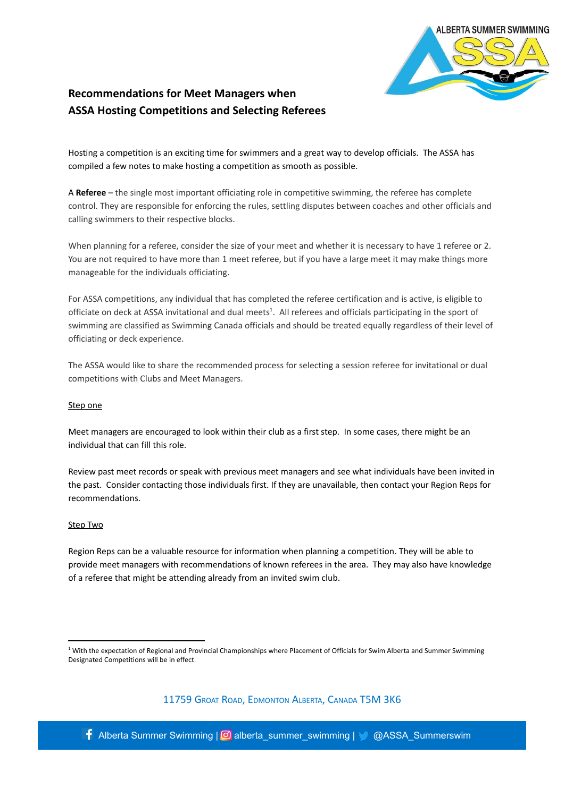

# **Recommendations for Meet Managers when ASSA Hosting Competitions and Selecting Referees**

Hosting a competition is an exciting time for swimmers and a great way to develop officials. The ASSA has compiled a few notes to make hosting a competition as smooth as possible.

A **Referee** – the single most important officiating role in competitive swimming, the referee has complete control. They are responsible for enforcing the rules, settling disputes between coaches and other officials and calling swimmers to their respective blocks.

When planning for a referee, consider the size of your meet and whether it is necessary to have 1 referee or 2. You are not required to have more than 1 meet referee, but if you have a large meet it may make things more manageable for the individuals officiating.

For ASSA competitions, any individual that has completed the referee certification and is active, is eligible to officiate on deck at ASSA invitational and dual meets<sup>1</sup>. All referees and officials participating in the sport of swimming are classified as Swimming Canada officials and should be treated equally regardless of their level of officiating or deck experience.

The ASSA would like to share the recommended process for selecting a session referee for invitational or dual competitions with Clubs and Meet Managers.

## Step one

Meet managers are encouraged to look within their club as a first step. In some cases, there might be an individual that can fill this role.

Review past meet records or speak with previous meet managers and see what individuals have been invited in the past. Consider contacting those individuals first. If they are unavailable, then contact your Region Reps for recommendations.

## Step Two

Region Reps can be a valuable resource for information when planning a competition. They will be able to provide meet managers with recommendations of known referees in the area. They may also have knowledge of a referee that might be attending already from an invited swim club.

11759 GROAT ROAD, EDMONTON ALBERTA, CANADA T5M 3K6

**f** Alberta Summer Swimming |  $\odot$  alberta\_summer\_swimming |  $\odot$  @ASSA\_Summerswim

<sup>&</sup>lt;sup>1</sup> With the expectation of Regional and Provincial Championships where Placement of Officials for Swim Alberta and Summer Swimming Designated Competitions will be in effect.